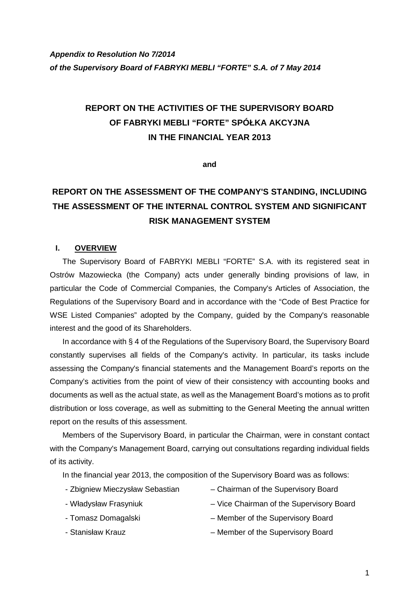# **REPORT ON THE ACTIVITIES OF THE SUPERVISORY BOARD OF FABRYKI MEBLI "FORTE" SPÓŁKA AKCYJNA IN THE FINANCIAL YEAR 2013**

**and** 

# **REPORT ON THE ASSESSMENT OF THE COMPANY'S STANDING, INCLUDING THE ASSESSMENT OF THE INTERNAL CONTROL SYSTEM AND SIGNIFICANT RISK MANAGEMENT SYSTEM**

#### **I. OVERVIEW**

The Supervisory Board of FABRYKI MEBLI "FORTE" S.A. with its registered seat in Ostrów Mazowiecka (the Company) acts under generally binding provisions of law, in particular the Code of Commercial Companies, the Company's Articles of Association, the Regulations of the Supervisory Board and in accordance with the "Code of Best Practice for WSE Listed Companies" adopted by the Company, guided by the Company's reasonable interest and the good of its Shareholders.

In accordance with § 4 of the Regulations of the Supervisory Board, the Supervisory Board constantly supervises all fields of the Company's activity. In particular, its tasks include assessing the Company's financial statements and the Management Board's reports on the Company's activities from the point of view of their consistency with accounting books and documents as well as the actual state, as well as the Management Board's motions as to profit distribution or loss coverage, as well as submitting to the General Meeting the annual written report on the results of this assessment.

Members of the Supervisory Board, in particular the Chairman, were in constant contact with the Company's Management Board, carrying out consultations regarding individual fields of its activity.

In the financial year 2013, the composition of the Supervisory Board was as follows:

- 
- Zbigniew Mieczysław Sebastian Chairman of the Supervisory Board
- Władysław Frasyniuk Vice Chairman of the Supervisory Board
	-
- Tomasz Domagalski Member of the Supervisory Board
- Stanisław Krauz Member of the Supervisory Board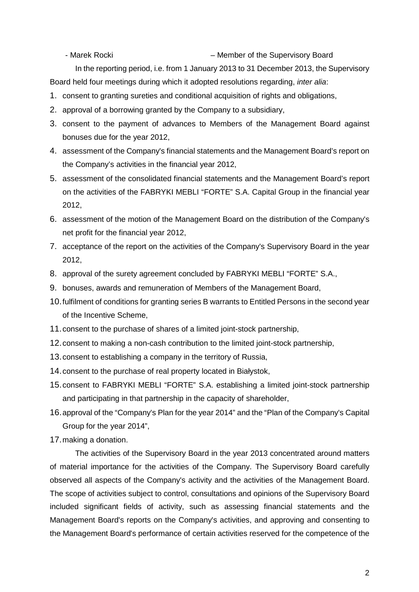- Marek Rocki – Member of the Supervisory Board

In the reporting period, i.e. from 1 January 2013 to 31 December 2013, the Supervisory Board held four meetings during which it adopted resolutions regarding, inter alia:

- 1. consent to granting sureties and conditional acquisition of rights and obligations,
- 2. approval of a borrowing granted by the Company to a subsidiary,
- 3. consent to the payment of advances to Members of the Management Board against bonuses due for the year 2012,
- 4. assessment of the Company's financial statements and the Management Board's report on the Company's activities in the financial year 2012,
- 5. assessment of the consolidated financial statements and the Management Board's report on the activities of the FABRYKI MEBLI "FORTE" S.A. Capital Group in the financial year 2012,
- 6. assessment of the motion of the Management Board on the distribution of the Company's net profit for the financial year 2012,
- 7. acceptance of the report on the activities of the Company's Supervisory Board in the year 2012,
- 8. approval of the surety agreement concluded by FABRYKI MEBLI "FORTE" S.A.,
- 9. bonuses, awards and remuneration of Members of the Management Board,
- 10. fulfilment of conditions for granting series B warrants to Entitled Persons in the second year of the Incentive Scheme,
- 11. consent to the purchase of shares of a limited joint-stock partnership,
- 12. consent to making a non-cash contribution to the limited joint-stock partnership,
- 13. consent to establishing a company in the territory of Russia,
- 14. consent to the purchase of real property located in Białystok,
- 15. consent to FABRYKI MEBLI "FORTE" S.A. establishing a limited joint-stock partnership and participating in that partnership in the capacity of shareholder,
- 16. approval of the "Company's Plan for the year 2014" and the "Plan of the Company's Capital Group for the year 2014",
- 17. making a donation.

The activities of the Supervisory Board in the year 2013 concentrated around matters of material importance for the activities of the Company. The Supervisory Board carefully observed all aspects of the Company's activity and the activities of the Management Board. The scope of activities subject to control, consultations and opinions of the Supervisory Board included significant fields of activity, such as assessing financial statements and the Management Board's reports on the Company's activities, and approving and consenting to the Management Board's performance of certain activities reserved for the competence of the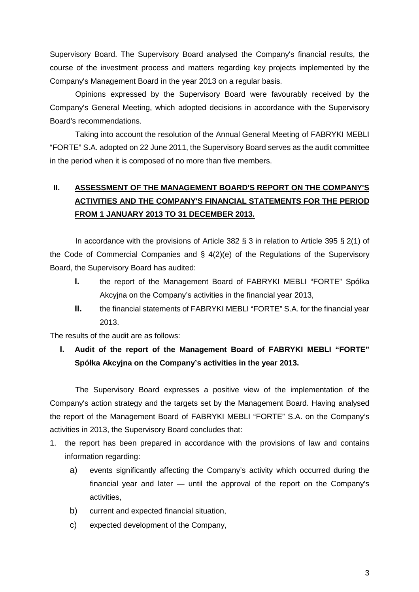Supervisory Board. The Supervisory Board analysed the Company's financial results, the course of the investment process and matters regarding key projects implemented by the Company's Management Board in the year 2013 on a regular basis.

Opinions expressed by the Supervisory Board were favourably received by the Company's General Meeting, which adopted decisions in accordance with the Supervisory Board's recommendations.

Taking into account the resolution of the Annual General Meeting of FABRYKI MEBLI "FORTE" S.A. adopted on 22 June 2011, the Supervisory Board serves as the audit committee in the period when it is composed of no more than five members.

## **II. ASSESSMENT OF THE MANAGEMENT BOARD'S REPORT ON THE COMPANY'S ACTIVITIES AND THE COMPANY'S FINANCIAL STATEMENTS FOR THE PERIOD FROM 1 JANUARY 2013 TO 31 DECEMBER 2013.**

In accordance with the provisions of Article 382 § 3 in relation to Article 395 § 2(1) of the Code of Commercial Companies and § 4(2)(e) of the Regulations of the Supervisory Board, the Supervisory Board has audited:

- **I.** the report of the Management Board of FABRYKI MEBLI "FORTE" Spółka Akcyjna on the Company's activities in the financial year 2013,
- **II.** the financial statements of FABRYKI MEBLI "FORTE" S.A. for the financial year 2013.

The results of the audit are as follows:

### **I. Audit of the report of the Management Board of FABRYKI MEBLI "FORTE" Spółka Akcyjna on the Company's activities in the year 2013.**

The Supervisory Board expresses a positive view of the implementation of the Company's action strategy and the targets set by the Management Board. Having analysed the report of the Management Board of FABRYKI MEBLI "FORTE" S.A. on the Company's activities in 2013, the Supervisory Board concludes that:

- 1. the report has been prepared in accordance with the provisions of law and contains information regarding:
	- a) events significantly affecting the Company's activity which occurred during the financial year and later — until the approval of the report on the Company's activities,
	- b) current and expected financial situation,
	- c) expected development of the Company,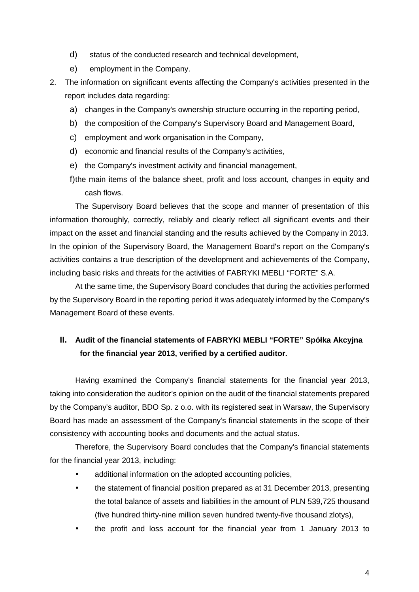- d) status of the conducted research and technical development,
- e) employment in the Company.
- 2. The information on significant events affecting the Company's activities presented in the report includes data regarding:
	- a) changes in the Company's ownership structure occurring in the reporting period,
	- b) the composition of the Company's Supervisory Board and Management Board,
	- c) employment and work organisation in the Company,
	- d) economic and financial results of the Company's activities,
	- e) the Company's investment activity and financial management,
	- f) the main items of the balance sheet, profit and loss account, changes in equity and cash flows.

The Supervisory Board believes that the scope and manner of presentation of this information thoroughly, correctly, reliably and clearly reflect all significant events and their impact on the asset and financial standing and the results achieved by the Company in 2013. In the opinion of the Supervisory Board, the Management Board's report on the Company's activities contains a true description of the development and achievements of the Company, including basic risks and threats for the activities of FABRYKI MEBLI "FORTE" S.A.

At the same time, the Supervisory Board concludes that during the activities performed by the Supervisory Board in the reporting period it was adequately informed by the Company's Management Board of these events.

### **II. Audit of the financial statements of FABRYKI MEBLI "FORTE" Spółka Akcyjna for the financial year 2013, verified by a certified auditor.**

Having examined the Company's financial statements for the financial year 2013, taking into consideration the auditor's opinion on the audit of the financial statements prepared by the Company's auditor, BDO Sp. z o.o. with its registered seat in Warsaw, the Supervisory Board has made an assessment of the Company's financial statements in the scope of their consistency with accounting books and documents and the actual status.

Therefore, the Supervisory Board concludes that the Company's financial statements for the financial year 2013, including:

- additional information on the adopted accounting policies,
- the statement of financial position prepared as at 31 December 2013, presenting the total balance of assets and liabilities in the amount of PLN 539,725 thousand (five hundred thirty-nine million seven hundred twenty-five thousand zlotys),
- the profit and loss account for the financial year from 1 January 2013 to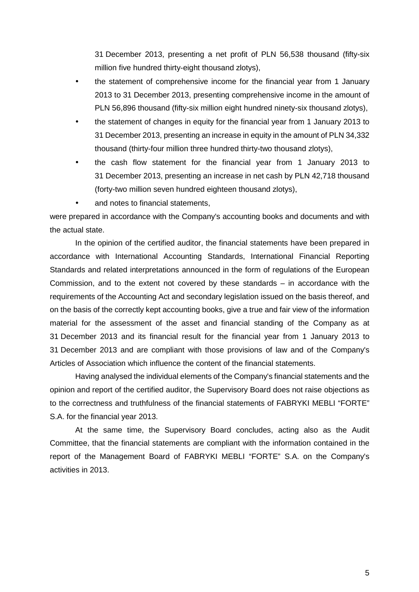31 December 2013, presenting a net profit of PLN 56,538 thousand (fifty-six million five hundred thirty-eight thousand zlotys),

- the statement of comprehensive income for the financial year from 1 January 2013 to 31 December 2013, presenting comprehensive income in the amount of PLN 56,896 thousand (fifty-six million eight hundred ninety-six thousand zlotys),
- the statement of changes in equity for the financial year from 1 January 2013 to 31 December 2013, presenting an increase in equity in the amount of PLN 34,332 thousand (thirty-four million three hundred thirty-two thousand zlotys),
- the cash flow statement for the financial year from 1 January 2013 to 31 December 2013, presenting an increase in net cash by PLN 42,718 thousand (forty-two million seven hundred eighteen thousand zlotys),
- and notes to financial statements.

were prepared in accordance with the Company's accounting books and documents and with the actual state.

In the opinion of the certified auditor, the financial statements have been prepared in accordance with International Accounting Standards, International Financial Reporting Standards and related interpretations announced in the form of regulations of the European Commission, and to the extent not covered by these standards – in accordance with the requirements of the Accounting Act and secondary legislation issued on the basis thereof, and on the basis of the correctly kept accounting books, give a true and fair view of the information material for the assessment of the asset and financial standing of the Company as at 31 December 2013 and its financial result for the financial year from 1 January 2013 to 31 December 2013 and are compliant with those provisions of law and of the Company's Articles of Association which influence the content of the financial statements.

Having analysed the individual elements of the Company's financial statements and the opinion and report of the certified auditor, the Supervisory Board does not raise objections as to the correctness and truthfulness of the financial statements of FABRYKI MEBLI "FORTE" S.A. for the financial year 2013.

At the same time, the Supervisory Board concludes, acting also as the Audit Committee, that the financial statements are compliant with the information contained in the report of the Management Board of FABRYKI MEBLI "FORTE" S.A. on the Company's activities in 2013.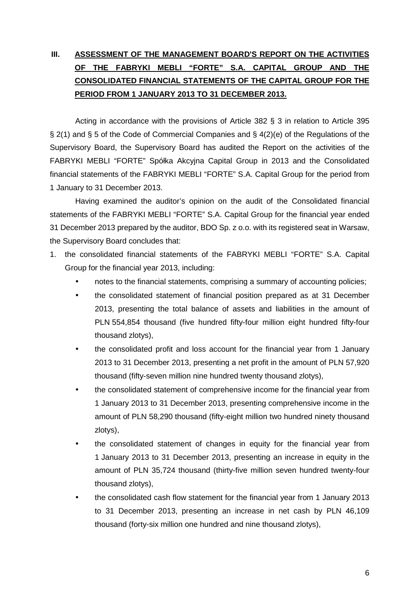# **III. ASSESSMENT OF THE MANAGEMENT BOARD'S REPORT ON THE ACTIVITIES OF THE FABRYKI MEBLI "FORTE" S.A. CAPITAL GROUP AND THE CONSOLIDATED FINANCIAL STATEMENTS OF THE CAPITAL GROUP FOR THE PERIOD FROM 1 JANUARY 2013 TO 31 DECEMBER 2013.**

Acting in accordance with the provisions of Article 382 § 3 in relation to Article 395 § 2(1) and § 5 of the Code of Commercial Companies and § 4(2)(e) of the Regulations of the Supervisory Board, the Supervisory Board has audited the Report on the activities of the FABRYKI MEBLI "FORTE" Spółka Akcyjna Capital Group in 2013 and the Consolidated financial statements of the FABRYKI MEBLI "FORTE" S.A. Capital Group for the period from 1 January to 31 December 2013.

Having examined the auditor's opinion on the audit of the Consolidated financial statements of the FABRYKI MEBLI "FORTE" S.A. Capital Group for the financial year ended 31 December 2013 prepared by the auditor, BDO Sp. z o.o. with its registered seat in Warsaw, the Supervisory Board concludes that:

- 1. the consolidated financial statements of the FABRYKI MEBLI "FORTE" S.A. Capital Group for the financial year 2013, including:
	- notes to the financial statements, comprising a summary of accounting policies;
	- the consolidated statement of financial position prepared as at 31 December 2013, presenting the total balance of assets and liabilities in the amount of PLN 554,854 thousand (five hundred fifty-four million eight hundred fifty-four thousand zlotys),
	- the consolidated profit and loss account for the financial year from 1 January 2013 to 31 December 2013, presenting a net profit in the amount of PLN 57,920 thousand (fifty-seven million nine hundred twenty thousand zlotys),
	- the consolidated statement of comprehensive income for the financial year from 1 January 2013 to 31 December 2013, presenting comprehensive income in the amount of PLN 58,290 thousand (fifty-eight million two hundred ninety thousand zlotys),
	- the consolidated statement of changes in equity for the financial year from 1 January 2013 to 31 December 2013, presenting an increase in equity in the amount of PLN 35,724 thousand (thirty-five million seven hundred twenty-four thousand zlotys),
	- the consolidated cash flow statement for the financial year from 1 January 2013 to 31 December 2013, presenting an increase in net cash by PLN 46,109 thousand (forty-six million one hundred and nine thousand zlotys),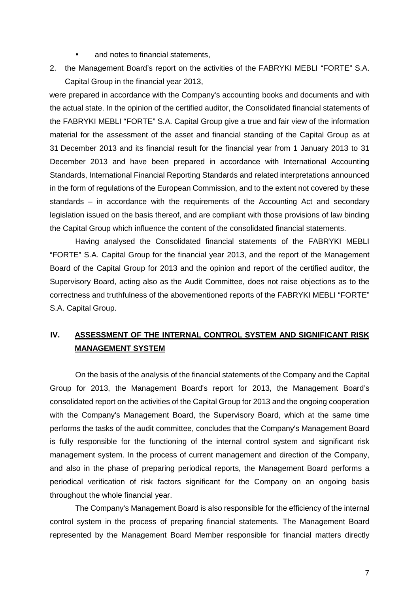- and notes to financial statements,
- 2. the Management Board's report on the activities of the FABRYKI MEBLI "FORTE" S.A. Capital Group in the financial year 2013,

were prepared in accordance with the Company's accounting books and documents and with the actual state. In the opinion of the certified auditor, the Consolidated financial statements of the FABRYKI MEBLI "FORTE" S.A. Capital Group give a true and fair view of the information material for the assessment of the asset and financial standing of the Capital Group as at 31 December 2013 and its financial result for the financial year from 1 January 2013 to 31 December 2013 and have been prepared in accordance with International Accounting Standards, International Financial Reporting Standards and related interpretations announced in the form of regulations of the European Commission, and to the extent not covered by these standards – in accordance with the requirements of the Accounting Act and secondary legislation issued on the basis thereof, and are compliant with those provisions of law binding the Capital Group which influence the content of the consolidated financial statements.

Having analysed the Consolidated financial statements of the FABRYKI MEBLI "FORTE" S.A. Capital Group for the financial year 2013, and the report of the Management Board of the Capital Group for 2013 and the opinion and report of the certified auditor, the Supervisory Board, acting also as the Audit Committee, does not raise objections as to the correctness and truthfulness of the abovementioned reports of the FABRYKI MEBLI "FORTE" S.A. Capital Group.

#### **IV. ASSESSMENT OF THE INTERNAL CONTROL SYSTEM AND SIGNIFICANT RISK MANAGEMENT SYSTEM**

On the basis of the analysis of the financial statements of the Company and the Capital Group for 2013, the Management Board's report for 2013, the Management Board's consolidated report on the activities of the Capital Group for 2013 and the ongoing cooperation with the Company's Management Board, the Supervisory Board, which at the same time performs the tasks of the audit committee, concludes that the Company's Management Board is fully responsible for the functioning of the internal control system and significant risk management system. In the process of current management and direction of the Company, and also in the phase of preparing periodical reports, the Management Board performs a periodical verification of risk factors significant for the Company on an ongoing basis throughout the whole financial year.

The Company's Management Board is also responsible for the efficiency of the internal control system in the process of preparing financial statements. The Management Board represented by the Management Board Member responsible for financial matters directly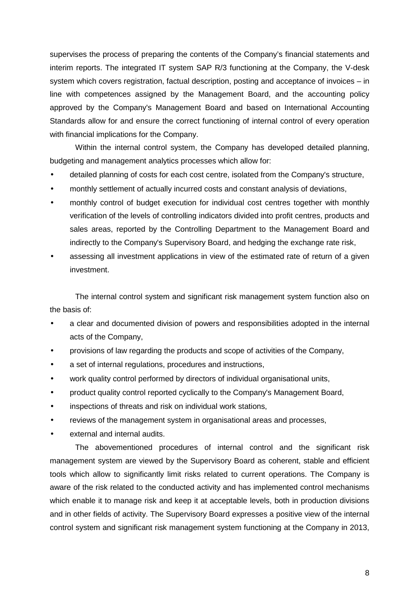supervises the process of preparing the contents of the Company's financial statements and interim reports. The integrated IT system SAP R/3 functioning at the Company, the V-desk system which covers registration, factual description, posting and acceptance of invoices – in line with competences assigned by the Management Board, and the accounting policy approved by the Company's Management Board and based on International Accounting Standards allow for and ensure the correct functioning of internal control of every operation with financial implications for the Company.

Within the internal control system, the Company has developed detailed planning, budgeting and management analytics processes which allow for:

- detailed planning of costs for each cost centre, isolated from the Company's structure,
- monthly settlement of actually incurred costs and constant analysis of deviations,
- monthly control of budget execution for individual cost centres together with monthly verification of the levels of controlling indicators divided into profit centres, products and sales areas, reported by the Controlling Department to the Management Board and indirectly to the Company's Supervisory Board, and hedging the exchange rate risk,
- assessing all investment applications in view of the estimated rate of return of a given investment.

The internal control system and significant risk management system function also on the basis of:

- a clear and documented division of powers and responsibilities adopted in the internal acts of the Company,
- provisions of law regarding the products and scope of activities of the Company,
- a set of internal regulations, procedures and instructions,
- work quality control performed by directors of individual organisational units,
- product quality control reported cyclically to the Company's Management Board,
- inspections of threats and risk on individual work stations,
- reviews of the management system in organisational areas and processes,
- external and internal audits.

The abovementioned procedures of internal control and the significant risk management system are viewed by the Supervisory Board as coherent, stable and efficient tools which allow to significantly limit risks related to current operations. The Company is aware of the risk related to the conducted activity and has implemented control mechanisms which enable it to manage risk and keep it at acceptable levels, both in production divisions and in other fields of activity. The Supervisory Board expresses a positive view of the internal control system and significant risk management system functioning at the Company in 2013,